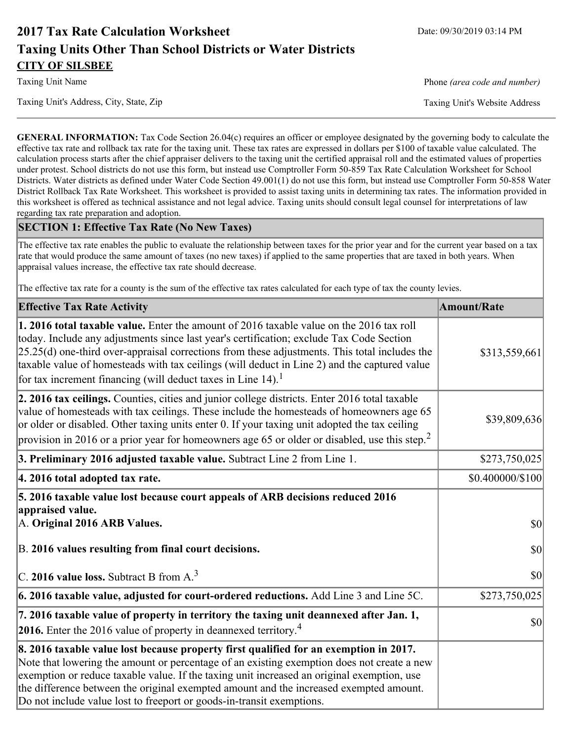# **2017 Tax Rate Calculation Worksheet** Date: 09/30/2019 03:14 PM **Taxing Units Other Than School Districts or Water Districts CITY OF SILSBEE**

Taxing Unit's Address, City, State, Zip Taxing Unit's Website Address

Taxing Unit Name **Phone** *(area code and number)* Phone *(area code and number)* 

**GENERAL INFORMATION:** Tax Code Section 26.04(c) requires an officer or employee designated by the governing body to calculate the effective tax rate and rollback tax rate for the taxing unit. These tax rates are expressed in dollars per \$100 of taxable value calculated. The calculation process starts after the chief appraiser delivers to the taxing unit the certified appraisal roll and the estimated values of properties under protest. School districts do not use this form, but instead use Comptroller Form 50-859 Tax Rate Calculation Worksheet for School Districts. Water districts as defined under Water Code Section 49.001(1) do not use this form, but instead use Comptroller Form 50-858 Water District Rollback Tax Rate Worksheet. This worksheet is provided to assist taxing units in determining tax rates. The information provided in this worksheet is offered as technical assistance and not legal advice. Taxing units should consult legal counsel for interpretations of law regarding tax rate preparation and adoption.

### **SECTION 1: Effective Tax Rate (No New Taxes)**

The effective tax rate enables the public to evaluate the relationship between taxes for the prior year and for the current year based on a tax rate that would produce the same amount of taxes (no new taxes) if applied to the same properties that are taxed in both years. When appraisal values increase, the effective tax rate should decrease.

The effective tax rate for a county is the sum of the effective tax rates calculated for each type of tax the county levies.

| <b>Effective Tax Rate Activity</b>                                                                                                                                                                                                                                                                                                                                                                                                                                      | <b>Amount/Rate</b> |
|-------------------------------------------------------------------------------------------------------------------------------------------------------------------------------------------------------------------------------------------------------------------------------------------------------------------------------------------------------------------------------------------------------------------------------------------------------------------------|--------------------|
| 1. 2016 total taxable value. Enter the amount of 2016 taxable value on the 2016 tax roll<br>today. Include any adjustments since last year's certification; exclude Tax Code Section<br>$[25.25(d)$ one-third over-appraisal corrections from these adjustments. This total includes the<br>taxable value of homesteads with tax ceilings (will deduct in Line 2) and the captured value<br>for tax increment financing (will deduct taxes in Line $14$ ). <sup>1</sup> | \$313,559,661      |
| 2. 2016 tax ceilings. Counties, cities and junior college districts. Enter 2016 total taxable<br>value of homesteads with tax ceilings. These include the homesteads of homeowners age 65<br>or older or disabled. Other taxing units enter 0. If your taxing unit adopted the tax ceiling<br>provision in 2016 or a prior year for homeowners age 65 or older or disabled, use this step. <sup>2</sup>                                                                 | \$39,809,636       |
| 3. Preliminary 2016 adjusted taxable value. Subtract Line 2 from Line 1.                                                                                                                                                                                                                                                                                                                                                                                                | \$273,750,025      |
| 4. 2016 total adopted tax rate.                                                                                                                                                                                                                                                                                                                                                                                                                                         | \$0.400000/\$100   |
| 5. 2016 taxable value lost because court appeals of ARB decisions reduced 2016<br>appraised value.<br>A. Original 2016 ARB Values.                                                                                                                                                                                                                                                                                                                                      | $ 10\rangle$       |
| B. 2016 values resulting from final court decisions.                                                                                                                                                                                                                                                                                                                                                                                                                    | 30                 |
| C. 2016 value loss. Subtract B from $A3$                                                                                                                                                                                                                                                                                                                                                                                                                                | 30                 |
| 6. 2016 taxable value, adjusted for court-ordered reductions. Add Line 3 and Line 5C.                                                                                                                                                                                                                                                                                                                                                                                   | \$273,750,025      |
| 7. 2016 taxable value of property in territory the taxing unit deannexed after Jan. 1,<br><b>2016.</b> Enter the 2016 value of property in deannexed territory. <sup>4</sup>                                                                                                                                                                                                                                                                                            | $ 10\rangle$       |
| 8. 2016 taxable value lost because property first qualified for an exemption in 2017.<br>Note that lowering the amount or percentage of an existing exemption does not create a new<br>exemption or reduce taxable value. If the taxing unit increased an original exemption, use<br>the difference between the original exempted amount and the increased exempted amount.<br>Do not include value lost to freeport or goods-in-transit exemptions.                    |                    |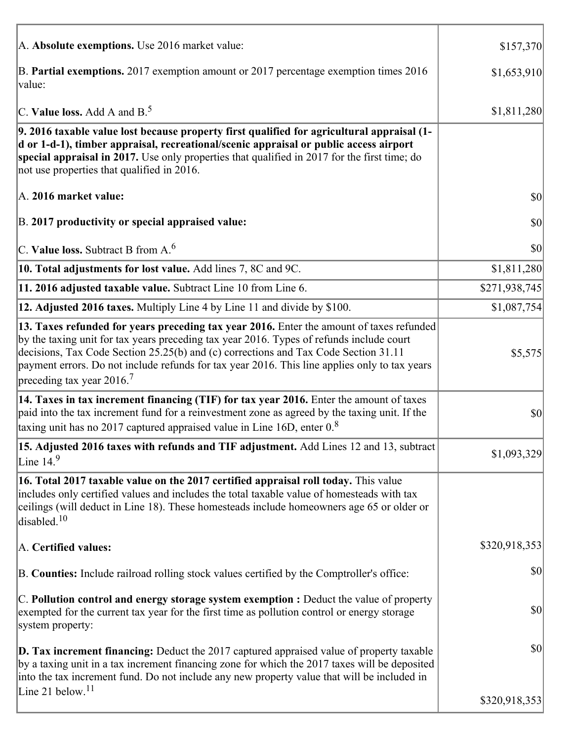| A. Absolute exemptions. Use 2016 market value:                                                                                                                                                                                                                                                                                                                                                                         | \$157,370     |
|------------------------------------------------------------------------------------------------------------------------------------------------------------------------------------------------------------------------------------------------------------------------------------------------------------------------------------------------------------------------------------------------------------------------|---------------|
| B. Partial exemptions. 2017 exemption amount or 2017 percentage exemption times 2016<br>value:                                                                                                                                                                                                                                                                                                                         | \$1,653,910   |
| C. Value loss. Add A and $B^5$ .                                                                                                                                                                                                                                                                                                                                                                                       | \$1,811,280   |
| 9. 2016 taxable value lost because property first qualified for agricultural appraisal (1-<br>d or 1-d-1), timber appraisal, recreational/scenic appraisal or public access airport<br>special appraisal in 2017. Use only properties that qualified in 2017 for the first time; do<br>not use properties that qualified in 2016.                                                                                      |               |
| A. 2016 market value:                                                                                                                                                                                                                                                                                                                                                                                                  | 30            |
| B. 2017 productivity or special appraised value:                                                                                                                                                                                                                                                                                                                                                                       | \$0           |
| C. Value loss. Subtract B from $A6$                                                                                                                                                                                                                                                                                                                                                                                    | \$0           |
| 10. Total adjustments for lost value. Add lines 7, 8C and 9C.                                                                                                                                                                                                                                                                                                                                                          | \$1,811,280   |
| 11. 2016 adjusted taxable value. Subtract Line 10 from Line 6.                                                                                                                                                                                                                                                                                                                                                         | \$271,938,745 |
| 12. Adjusted 2016 taxes. Multiply Line 4 by Line 11 and divide by \$100.                                                                                                                                                                                                                                                                                                                                               | \$1,087,754   |
| 13. Taxes refunded for years preceding tax year 2016. Enter the amount of taxes refunded<br>by the taxing unit for tax years preceding tax year 2016. Types of refunds include court<br>decisions, Tax Code Section 25.25(b) and (c) corrections and Tax Code Section 31.11<br>payment errors. Do not include refunds for tax year 2016. This line applies only to tax years<br>preceding tax year $2016$ <sup>7</sup> | \$5,575       |
| 14. Taxes in tax increment financing (TIF) for tax year 2016. Enter the amount of taxes<br>paid into the tax increment fund for a reinvestment zone as agreed by the taxing unit. If the<br>taxing unit has no 2017 captured appraised value in Line 16D, enter $0.8$                                                                                                                                                  | \$0           |
| 15. Adjusted 2016 taxes with refunds and TIF adjustment. Add Lines 12 and 13, subtract<br>Line $149$                                                                                                                                                                                                                                                                                                                   | \$1,093,329   |
| 16. Total 2017 taxable value on the 2017 certified appraisal roll today. This value<br>includes only certified values and includes the total taxable value of homesteads with tax<br>ceilings (will deduct in Line 18). These homesteads include homeowners age 65 or older or<br>disabled. <sup>10</sup>                                                                                                              |               |
| A. Certified values:                                                                                                                                                                                                                                                                                                                                                                                                   | \$320,918,353 |
| B. Counties: Include railroad rolling stock values certified by the Comptroller's office:                                                                                                                                                                                                                                                                                                                              | \$0           |
| $ C$ . Pollution control and energy storage system exemption : Deduct the value of property<br>exempted for the current tax year for the first time as pollution control or energy storage<br>system property:                                                                                                                                                                                                         | \$0           |
| <b>D. Tax increment financing:</b> Deduct the 2017 captured appraised value of property taxable<br>by a taxing unit in a tax increment financing zone for which the 2017 taxes will be deposited<br>into the tax increment fund. Do not include any new property value that will be included in                                                                                                                        | \$0           |
| Line 21 below. <sup>11</sup>                                                                                                                                                                                                                                                                                                                                                                                           | \$320,918,353 |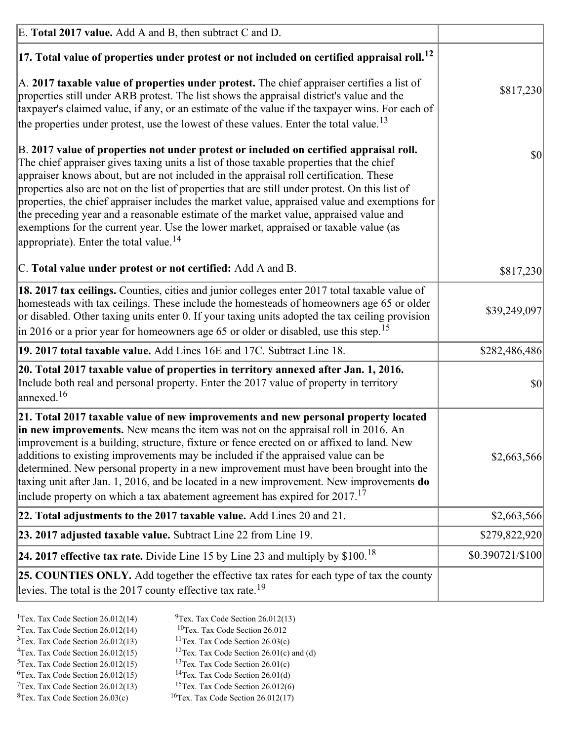| E. Total 2017 value. Add A and B, then subtract C and D.                                                                                                                                                                                                                                                                                                                                                                                                                                                                                                                                                                                                                                                                 |                  |
|--------------------------------------------------------------------------------------------------------------------------------------------------------------------------------------------------------------------------------------------------------------------------------------------------------------------------------------------------------------------------------------------------------------------------------------------------------------------------------------------------------------------------------------------------------------------------------------------------------------------------------------------------------------------------------------------------------------------------|------------------|
| $ 17$ . Total value of properties under protest or not included on certified appraisal roll. <sup>12</sup>                                                                                                                                                                                                                                                                                                                                                                                                                                                                                                                                                                                                               |                  |
| A. 2017 taxable value of properties under protest. The chief appraiser certifies a list of<br>properties still under ARB protest. The list shows the appraisal district's value and the<br>taxpayer's claimed value, if any, or an estimate of the value if the taxpayer wins. For each of<br>the properties under protest, use the lowest of these values. Enter the total value. <sup>13</sup>                                                                                                                                                                                                                                                                                                                         | \$817,230        |
| B. 2017 value of properties not under protest or included on certified appraisal roll.<br>The chief appraiser gives taxing units a list of those taxable properties that the chief<br>appraiser knows about, but are not included in the appraisal roll certification. These<br>properties also are not on the list of properties that are still under protest. On this list of<br>properties, the chief appraiser includes the market value, appraised value and exemptions for<br>the preceding year and a reasonable estimate of the market value, appraised value and<br>exemptions for the current year. Use the lower market, appraised or taxable value (as<br>appropriate). Enter the total value. <sup>14</sup> | $ 10\rangle$     |
| C. Total value under protest or not certified: Add A and B.                                                                                                                                                                                                                                                                                                                                                                                                                                                                                                                                                                                                                                                              | \$817,230        |
| 18. 2017 tax ceilings. Counties, cities and junior colleges enter 2017 total taxable value of<br>homesteads with tax ceilings. These include the homesteads of homeowners age 65 or older<br>or disabled. Other taxing units enter 0. If your taxing units adopted the tax ceiling provision<br>$\vert$ in 2016 or a prior year for homeowners age 65 or older or disabled, use this step. <sup>15</sup>                                                                                                                                                                                                                                                                                                                 | \$39,249,097     |
| 19. 2017 total taxable value. Add Lines 16E and 17C. Subtract Line 18.                                                                                                                                                                                                                                                                                                                                                                                                                                                                                                                                                                                                                                                   | \$282,486,486    |
| 20. Total 2017 taxable value of properties in territory annexed after Jan. 1, 2016.<br>Include both real and personal property. Enter the 2017 value of property in territory<br>$\text{lanned}$ . <sup>16</sup>                                                                                                                                                                                                                                                                                                                                                                                                                                                                                                         | $ 10\rangle$     |
| 21. Total 2017 taxable value of new improvements and new personal property located<br>in new improvements. New means the item was not on the appraisal roll in 2016. An<br>improvement is a building, structure, fixture or fence erected on or affixed to land. New<br>additions to existing improvements may be included if the appraised value can be<br>determined. New personal property in a new improvement must have been brought into the<br>taxing unit after Jan. 1, 2016, and be located in a new improvement. New improvements <b>do</b><br>include property on which a tax abatement agreement has expired for $2017$ . <sup>17</sup>                                                                      | \$2,663,566      |
| 22. Total adjustments to the 2017 taxable value. Add Lines 20 and 21.                                                                                                                                                                                                                                                                                                                                                                                                                                                                                                                                                                                                                                                    | \$2,663,566      |
| 23. 2017 adjusted taxable value. Subtract Line 22 from Line 19.                                                                                                                                                                                                                                                                                                                                                                                                                                                                                                                                                                                                                                                          | \$279,822,920    |
| 24. 2017 effective tax rate. Divide Line 15 by Line 23 and multiply by $$100$ . <sup>18</sup>                                                                                                                                                                                                                                                                                                                                                                                                                                                                                                                                                                                                                            | \$0.390721/\$100 |
| <b>25. COUNTIES ONLY.</b> Add together the effective tax rates for each type of tax the county<br>levies. The total is the 2017 county effective tax rate. <sup>19</sup>                                                                                                                                                                                                                                                                                                                                                                                                                                                                                                                                                 |                  |

- <sup>2</sup>Tex. Tax Code Section 26.012(14)
- <sup>1</sup>Tex. Tax Code Section 26.012(14) <sup>9</sup>Tex. Tax Code Section 26.012(13) <sup>9</sup>Tex. Tax Code Section 26.012
	-
- <sup>3</sup>Tex. Tax Code Section 26.012(13) <sup>11</sup>Tex. Tax Code Section 26.03(c) <sup>4</sup>Tex. Tax Code Section 26.01(c) and <sup>12</sup>Tex. Tax Code Section 26.01(c) and <sup>12</sup>Tex. Tax Code Section 26.01(c) and <sup>12</sup>Tex. Tax Code Section 26.01(c)
	- <sup>12</sup>Tex. Tax Code Section 26.01(c) and (d)
	-
- <sup>5</sup>Tex. Tax Code Section 26.012(15) <sup>13</sup>Tex. Tax Code Section 26.01(c) <sup>6</sup>Tex. Tax Code Section 26.01(d) <sup>6</sup>Tex. Tax Code Section 26.012(15) <sup>14</sup>Tex. Tax Code Section 26.01(d)<sup>7</sup>Tex. Tax Code Section 26.012(6)
- $7$ Tex. Tax Code Section 26.012(13)
- ${}^{8}$ Tex. Tax Code Section 26.03(c)  ${}^{16}$ Tex. Tax Code Section 26.012(17)
- -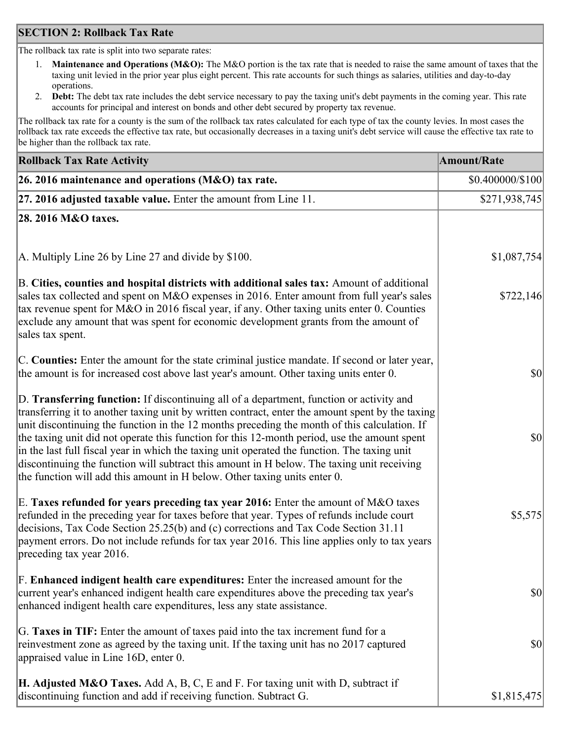## **SECTION 2: Rollback Tax Rate**

The rollback tax rate is split into two separate rates:

- 1. **Maintenance and Operations (M&O):** The M&O portion is the tax rate that is needed to raise the same amount of taxes that the taxing unit levied in the prior year plus eight percent. This rate accounts for such things as salaries, utilities and day-to-day operations.
- 2. **Debt:** The debt tax rate includes the debt service necessary to pay the taxing unit's debt payments in the coming year. This rate accounts for principal and interest on bonds and other debt secured by property tax revenue.

The rollback tax rate for a county is the sum of the rollback tax rates calculated for each type of tax the county levies. In most cases the rollback tax rate exceeds the effective tax rate, but occasionally decreases in a taxing unit's debt service will cause the effective tax rate to be higher than the rollback tax rate.

| <b>Rollback Tax Rate Activity</b>                                                                                                                                                                                                                                                                                                                                                                                                                                                                                                                                                                                                                                       | <b>Amount/Rate</b>     |
|-------------------------------------------------------------------------------------------------------------------------------------------------------------------------------------------------------------------------------------------------------------------------------------------------------------------------------------------------------------------------------------------------------------------------------------------------------------------------------------------------------------------------------------------------------------------------------------------------------------------------------------------------------------------------|------------------------|
| 26. 2016 maintenance and operations (M&O) tax rate.                                                                                                                                                                                                                                                                                                                                                                                                                                                                                                                                                                                                                     | $$0.400000 \times 100$ |
| $ 27.2016$ adjusted taxable value. Enter the amount from Line 11.                                                                                                                                                                                                                                                                                                                                                                                                                                                                                                                                                                                                       | \$271,938,745          |
| 28. 2016 M&O taxes.                                                                                                                                                                                                                                                                                                                                                                                                                                                                                                                                                                                                                                                     |                        |
|                                                                                                                                                                                                                                                                                                                                                                                                                                                                                                                                                                                                                                                                         |                        |
| A. Multiply Line 26 by Line 27 and divide by \$100.                                                                                                                                                                                                                                                                                                                                                                                                                                                                                                                                                                                                                     | \$1,087,754            |
| B. Cities, counties and hospital districts with additional sales tax: Amount of additional<br>sales tax collected and spent on M&O expenses in 2016. Enter amount from full year's sales<br>tax revenue spent for M&O in 2016 fiscal year, if any. Other taxing units enter 0. Counties<br>exclude any amount that was spent for economic development grants from the amount of<br>sales tax spent.                                                                                                                                                                                                                                                                     | \$722,146              |
| C. Counties: Enter the amount for the state criminal justice mandate. If second or later year,<br>the amount is for increased cost above last year's amount. Other taxing units enter 0.                                                                                                                                                                                                                                                                                                                                                                                                                                                                                | $ 10\rangle$           |
| D. Transferring function: If discontinuing all of a department, function or activity and<br>transferring it to another taxing unit by written contract, enter the amount spent by the taxing<br>unit discontinuing the function in the 12 months preceding the month of this calculation. If<br>the taxing unit did not operate this function for this 12-month period, use the amount spent<br>in the last full fiscal year in which the taxing unit operated the function. The taxing unit<br>discontinuing the function will subtract this amount in H below. The taxing unit receiving<br>the function will add this amount in H below. Other taxing units enter 0. | $ 10\rangle$           |
| E. Taxes refunded for years preceding tax year 2016: Enter the amount of M&O taxes<br>refunded in the preceding year for taxes before that year. Types of refunds include court<br>decisions, Tax Code Section 25.25(b) and (c) corrections and Tax Code Section 31.11<br>payment errors. Do not include refunds for tax year 2016. This line applies only to tax years<br>preceding tax year 2016.                                                                                                                                                                                                                                                                     | \$5,575                |
| F. Enhanced indigent health care expenditures: Enter the increased amount for the<br>current year's enhanced indigent health care expenditures above the preceding tax year's<br>enhanced indigent health care expenditures, less any state assistance.                                                                                                                                                                                                                                                                                                                                                                                                                 | $ 10\rangle$           |
| G. Taxes in TIF: Enter the amount of taxes paid into the tax increment fund for a<br>reinvestment zone as agreed by the taxing unit. If the taxing unit has no 2017 captured<br>appraised value in Line 16D, enter 0.                                                                                                                                                                                                                                                                                                                                                                                                                                                   | $ 10\rangle$           |
| <b>H. Adjusted M&amp;O Taxes.</b> Add A, B, C, E and F. For taxing unit with D, subtract if<br>discontinuing function and add if receiving function. Subtract G.                                                                                                                                                                                                                                                                                                                                                                                                                                                                                                        | \$1,815,475            |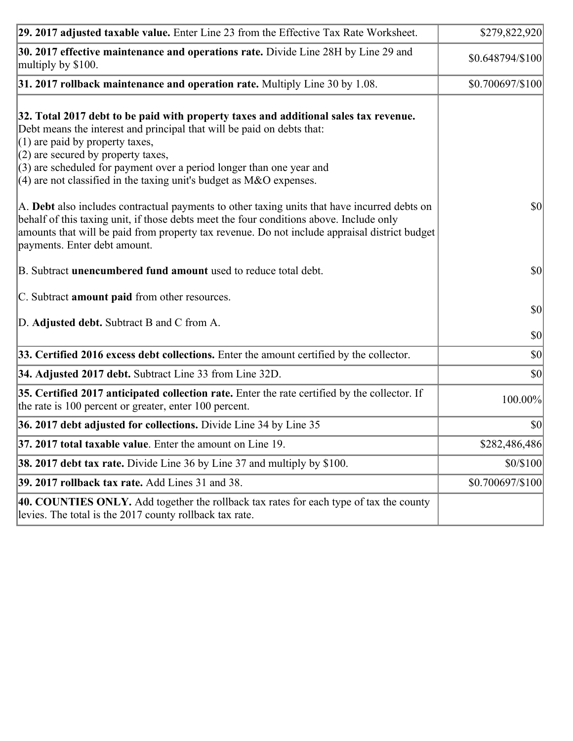| 29. 2017 adjusted taxable value. Enter Line 23 from the Effective Tax Rate Worksheet.                                                                                                                                                                                                                                                                                                          | \$279,822,920                |
|------------------------------------------------------------------------------------------------------------------------------------------------------------------------------------------------------------------------------------------------------------------------------------------------------------------------------------------------------------------------------------------------|------------------------------|
| 30. 2017 effective maintenance and operations rate. Divide Line 28H by Line 29 and<br>multiply by \$100.                                                                                                                                                                                                                                                                                       | \$0.648794/\$100             |
| $31.2017$ rollback maintenance and operation rate. Multiply Line 30 by 1.08.                                                                                                                                                                                                                                                                                                                   | \$0.700697/\$100             |
| 32. Total 2017 debt to be paid with property taxes and additional sales tax revenue.<br>Debt means the interest and principal that will be paid on debts that:<br>$(1)$ are paid by property taxes,<br>$(2)$ are secured by property taxes,<br>$(3)$ are scheduled for payment over a period longer than one year and<br>$(4)$ are not classified in the taxing unit's budget as M&O expenses. |                              |
| A. Debt also includes contractual payments to other taxing units that have incurred debts on<br>behalf of this taxing unit, if those debts meet the four conditions above. Include only<br>amounts that will be paid from property tax revenue. Do not include appraisal district budget<br>payments. Enter debt amount.                                                                       | $ 10\rangle$                 |
| B. Subtract unencumbered fund amount used to reduce total debt.                                                                                                                                                                                                                                                                                                                                | \$0                          |
| C. Subtract amount paid from other resources.                                                                                                                                                                                                                                                                                                                                                  |                              |
| D. Adjusted debt. Subtract B and C from A.                                                                                                                                                                                                                                                                                                                                                     | $ 10\rangle$<br>$ 10\rangle$ |
| 33. Certified 2016 excess debt collections. Enter the amount certified by the collector.                                                                                                                                                                                                                                                                                                       | $ 10\rangle$                 |
| 34. Adjusted 2017 debt. Subtract Line 33 from Line 32D.                                                                                                                                                                                                                                                                                                                                        | 30                           |
| 35. Certified 2017 anticipated collection rate. Enter the rate certified by the collector. If<br>the rate is 100 percent or greater, enter 100 percent.                                                                                                                                                                                                                                        | 100.00%                      |
| 36. 2017 debt adjusted for collections. Divide Line 34 by Line 35                                                                                                                                                                                                                                                                                                                              | $ 10\rangle$                 |
| $37.2017$ total taxable value. Enter the amount on Line 19.                                                                                                                                                                                                                                                                                                                                    | \$282,486,486                |
| <b>38. 2017 debt tax rate.</b> Divide Line 36 by Line 37 and multiply by \$100.                                                                                                                                                                                                                                                                                                                | \$0/\$100                    |
| 39. 2017 rollback tax rate. Add Lines 31 and 38.                                                                                                                                                                                                                                                                                                                                               | \$0.700697/\$100             |
| 40. COUNTIES ONLY. Add together the rollback tax rates for each type of tax the county<br>levies. The total is the 2017 county rollback tax rate.                                                                                                                                                                                                                                              |                              |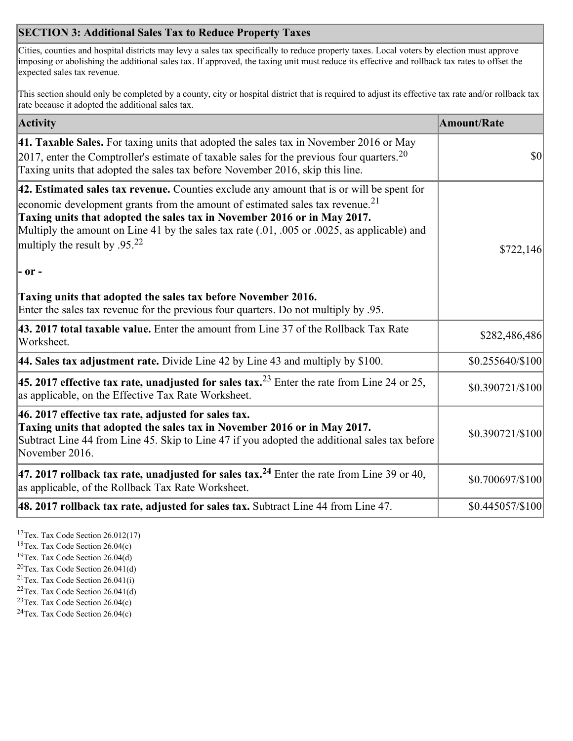## **SECTION 3: Additional Sales Tax to Reduce Property Taxes**

Cities, counties and hospital districts may levy a sales tax specifically to reduce property taxes. Local voters by election must approve imposing or abolishing the additional sales tax. If approved, the taxing unit must reduce its effective and rollback tax rates to offset the expected sales tax revenue.

This section should only be completed by a county, city or hospital district that is required to adjust its effective tax rate and/or rollback tax rate because it adopted the additional sales tax.

| <b>Activity</b>                                                                                                                                                                                                                                                                                                                                                                                                 | <b>Amount/Rate</b> |
|-----------------------------------------------------------------------------------------------------------------------------------------------------------------------------------------------------------------------------------------------------------------------------------------------------------------------------------------------------------------------------------------------------------------|--------------------|
| 41. Taxable Sales. For taxing units that adopted the sales tax in November 2016 or May<br>[2017, enter the Comptroller's estimate of taxable sales for the previous four quarters. <sup>20</sup><br>Taxing units that adopted the sales tax before November 2016, skip this line.                                                                                                                               | $\vert$ so $\vert$ |
| 42. Estimated sales tax revenue. Counties exclude any amount that is or will be spent for<br>economic development grants from the amount of estimated sales tax revenue. <sup>21</sup><br>Taxing units that adopted the sales tax in November 2016 or in May 2017.<br>Multiply the amount on Line 41 by the sales tax rate (.01, .005 or .0025, as applicable) and<br>multiply the result by .95. <sup>22</sup> | \$722,146          |
| $ -$ or $-$                                                                                                                                                                                                                                                                                                                                                                                                     |                    |
| Taxing units that adopted the sales tax before November 2016.<br>Enter the sales tax revenue for the previous four quarters. Do not multiply by .95.                                                                                                                                                                                                                                                            |                    |
| 43. 2017 total taxable value. Enter the amount from Line 37 of the Rollback Tax Rate<br>Worksheet.                                                                                                                                                                                                                                                                                                              | \$282,486,486      |
| 44. Sales tax adjustment rate. Divide Line 42 by Line 43 and multiply by $$100$ .                                                                                                                                                                                                                                                                                                                               | \$0.255640/\$100   |
| 45. 2017 effective tax rate, unadjusted for sales tax. <sup>23</sup> Enter the rate from Line 24 or 25,<br>as applicable, on the Effective Tax Rate Worksheet.                                                                                                                                                                                                                                                  | \$0.390721/\$100   |
| 46. 2017 effective tax rate, adjusted for sales tax.<br>Taxing units that adopted the sales tax in November 2016 or in May 2017.<br>Subtract Line 44 from Line 45. Skip to Line 47 if you adopted the additional sales tax before<br>November 2016.                                                                                                                                                             | \$0.390721/\$100   |
| 47. 2017 rollback tax rate, unadjusted for sales tax. <sup>24</sup> Enter the rate from Line 39 or 40,<br>as applicable, of the Rollback Tax Rate Worksheet.                                                                                                                                                                                                                                                    | \$0.700697/\$100   |
| $ 48.2017$ rollback tax rate, adjusted for sales tax. Subtract Line 44 from Line 47.                                                                                                                                                                                                                                                                                                                            | \$0.445057/\$100   |

<sup>17</sup>Tex. Tax Code Section 26.012(17)

<sup>18</sup>Tex. Tax Code Section 26.04(c)

<sup>19</sup>Tex. Tax Code Section 26.04(d)

<sup>20</sup>Tex. Tax Code Section 26.041(d)

- $21$ Tex. Tax Code Section 26.041(i)
- <sup>22</sup>Tex. Tax Code Section 26.041(d)
- <sup>23</sup>Tex. Tax Code Section  $26.04(c)$

<sup>24</sup>Tex. Tax Code Section  $26.04(c)$